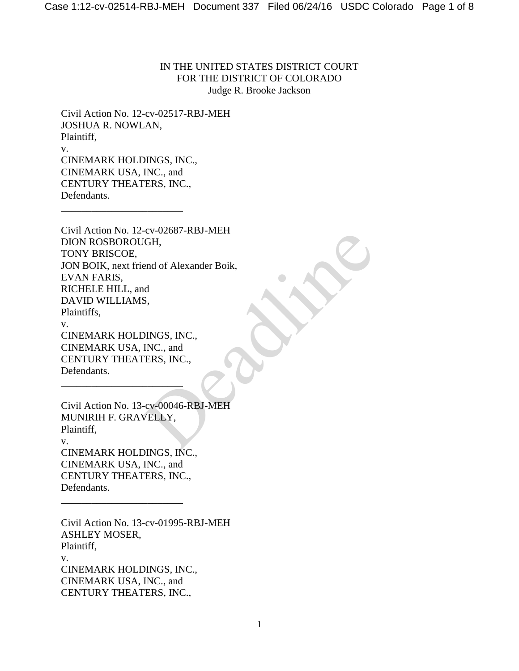IN THE UNITED STATES DISTRICT COURT FOR THE DISTRICT OF COLORADO Judge R. Brooke Jackson

Civil Action No. 12-cv-02517-RBJ-MEH JOSHUA R. NOWLAN, Plaintiff, v. CINEMARK HOLDINGS, INC., CINEMARK USA, INC., and CENTURY THEATERS, INC., Defendants.

\_\_\_\_\_\_\_\_\_\_\_\_\_\_\_\_\_\_\_\_\_\_\_\_

\_\_\_\_\_\_\_\_\_\_\_\_\_\_\_\_\_\_\_\_\_\_\_\_

\_\_\_\_\_\_\_\_\_\_\_\_\_\_\_\_\_\_\_\_\_\_\_\_

Civil Action No. 12-cv-02687-RBJ-MEH DION ROSBOROUGH, TONY BRISCOE, JON BOIK, next friend of Alexander Boik, EVAN FARIS, RICHELE HILL, and DAVID WILLIAMS, Plaintiffs, v. CINEMARK HOLDINGS, INC., CINEMARK USA, INC., and CENTURY THEATERS, INC., Defendants. CO-CO-OZOSI-KD3-IWEIT<br>
CH,<br>
ad<br>
S,<br>
DINGS, INC.,<br>
DINGS, INC.,<br>
INC., and<br>
TERS, INC.,<br>
CO-OOO46-RBJ-MEH<br>
VELLY,

Civil Action No. 13-cv-00046-RBJ-MEH MUNIRIH F. GRAVELLY, Plaintiff, v. CINEMARK HOLDINGS, INC., CINEMARK USA, INC., and CENTURY THEATERS, INC., Defendants.

Civil Action No. 13-cv-01995-RBJ-MEH ASHLEY MOSER, Plaintiff, v. CINEMARK HOLDINGS, INC., CINEMARK USA, INC., and CENTURY THEATERS, INC.,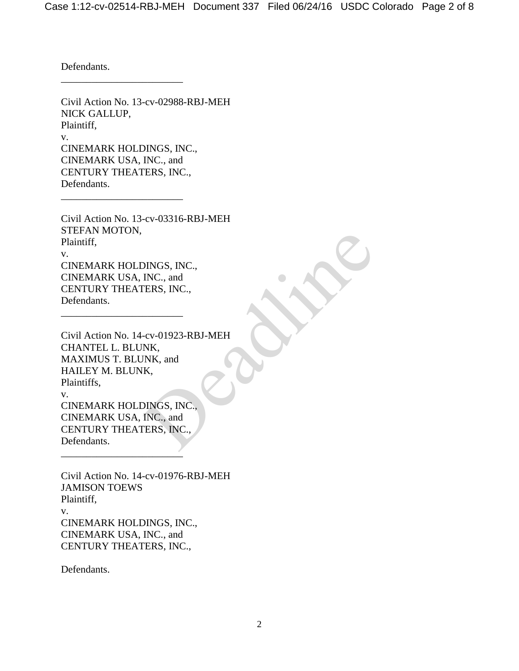Defendants.

Civil Action No. 13-cv-02988-RBJ-MEH NICK GALLUP, Plaintiff, v. CINEMARK HOLDINGS, INC., CINEMARK USA, INC., and CENTURY THEATERS, INC., Defendants.

\_\_\_\_\_\_\_\_\_\_\_\_\_\_\_\_\_\_\_\_\_\_\_\_

\_\_\_\_\_\_\_\_\_\_\_\_\_\_\_\_\_\_\_\_\_\_\_\_

\_\_\_\_\_\_\_\_\_\_\_\_\_\_\_\_\_\_\_\_\_\_\_\_

Civil Action No. 13-cv-03316-RBJ-MEH STEFAN MOTON, Plaintiff, v. CINEMARK HOLDINGS, INC., CINEMARK USA, INC., and CENTURY THEATERS, INC., Defendants.

Civil Action No. 14-cv-01923-RBJ-MEH CHANTEL L. BLUNK, MAXIMUS T. BLUNK, and HAILEY M. BLUNK, Plaintiffs, v. CINEMARK HOLDINGS, INC., CINEMARK USA, INC., and CENTURY THEATERS, INC., Defendants. \_\_\_\_\_\_\_\_\_\_\_\_\_\_\_\_\_\_\_\_\_\_\_\_ DINGS, INC.,<br>INC., and<br>TERS, INC.,<br>C-cv-01923-RBJ-MEH<br>NK,<br>NK, MK, and<br>K,<br>DINGS, INC.,<br>DINGS, INC.,<br>RRS, INC.,

Civil Action No. 14-cv-01976-RBJ-MEH JAMISON TOEWS Plaintiff, v. CINEMARK HOLDINGS, INC., CINEMARK USA, INC., and CENTURY THEATERS, INC.,

Defendants.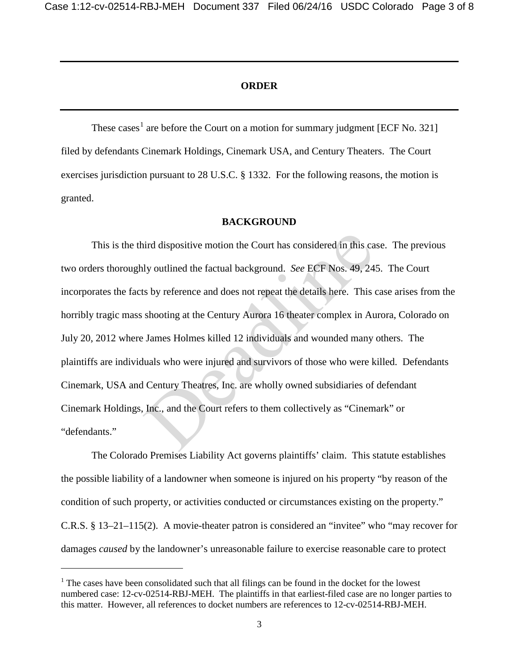# **ORDER**

These cases<sup>[1](#page-2-0)</sup> are before the Court on a motion for summary judgment [ECF No. 321] filed by defendants Cinemark Holdings, Cinemark USA, and Century Theaters. The Court exercises jurisdiction pursuant to 28 U.S.C. § 1332. For the following reasons, the motion is granted.

#### **BACKGROUND**

 This is the third dispositive motion the Court has considered in this case. The previous two orders thoroughly outlined the factual background. *See* ECF Nos. 49, 245. The Court incorporates the facts by reference and does not repeat the details here. This case arises from the horribly tragic mass shooting at the Century Aurora 16 theater complex in Aurora, Colorado on July 20, 2012 where James Holmes killed 12 individuals and wounded many others. The plaintiffs are individuals who were injured and survivors of those who were killed. Defendants Cinemark, USA and Century Theatres, Inc. are wholly owned subsidiaries of defendant Cinemark Holdings, Inc., and the Court refers to them collectively as "Cinemark" or "defendants." ind dispositive motion the Court has considered in this cally outlined the factual background. *See* ECF Nos. 49, 24:<br>
See ECF Nos. 49, 24:<br>
See ECF Nos. 49, 24:<br>
See ECF Nos. 49, 24:<br>
See ECF Nos. 49, 24:<br>
See ECF Nos. 49

The Colorado Premises Liability Act governs plaintiffs' claim. This statute establishes the possible liability of a landowner when someone is injured on his property "by reason of the condition of such property, or activities conducted or circumstances existing on the property." C.R.S. § 13–21–115(2). A movie-theater patron is considered an "invitee" who "may recover for damages *caused* by the landowner's unreasonable failure to exercise reasonable care to protect

 $\ddot{\phantom{a}}$ 

<span id="page-2-0"></span> $1$ <sup>1</sup> The cases have been consolidated such that all filings can be found in the docket for the lowest numbered case: 12-cv-02514-RBJ-MEH. The plaintiffs in that earliest-filed case are no longer parties to this matter. However, all references to docket numbers are references to 12-cv-02514-RBJ-MEH.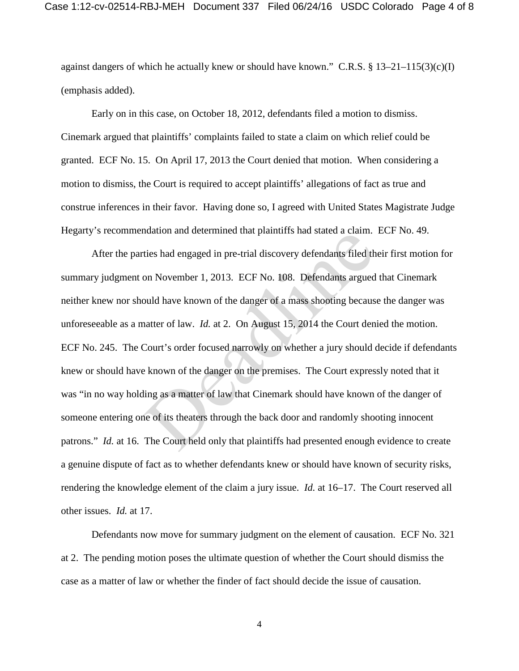against dangers of which he actually knew or should have known." C.R.S.  $\S 13-21-115(3)(c)(1)$ (emphasis added).

 Early on in this case, on October 18, 2012, defendants filed a motion to dismiss. Cinemark argued that plaintiffs' complaints failed to state a claim on which relief could be granted. ECF No. 15. On April 17, 2013 the Court denied that motion. When considering a motion to dismiss, the Court is required to accept plaintiffs' allegations of fact as true and construe inferences in their favor. Having done so, I agreed with United States Magistrate Judge Hegarty's recommendation and determined that plaintiffs had stated a claim. ECF No. 49.

After the parties had engaged in pre-trial discovery defendants filed their first motion for summary judgment on November 1, 2013. ECF No. 108. Defendants argued that Cinemark neither knew nor should have known of the danger of a mass shooting because the danger was unforeseeable as a matter of law. *Id.* at 2. On August 15, 2014 the Court denied the motion. ECF No. 245. The Court's order focused narrowly on whether a jury should decide if defendants knew or should have known of the danger on the premises. The Court expressly noted that it was "in no way holding as a matter of law that Cinemark should have known of the danger of someone entering one of its theaters through the back door and randomly shooting innocent patrons." *Id.* at 16. The Court held only that plaintiffs had presented enough evidence to create a genuine dispute of fact as to whether defendants knew or should have known of security risks, rendering the knowledge element of the claim a jury issue. *Id.* at 16–17. The Court reserved all other issues. *Id.* at 17. diadion and determined that plaintiffs had stated a claim.<br>ties had engaged in pre-trial discovery defendants filed th<br>on November 1, 2013. ECF No. 108. Defendants argued<br>ould have known of the danger of a mass shooting be

Defendants now move for summary judgment on the element of causation. ECF No. 321 at 2. The pending motion poses the ultimate question of whether the Court should dismiss the case as a matter of law or whether the finder of fact should decide the issue of causation.

4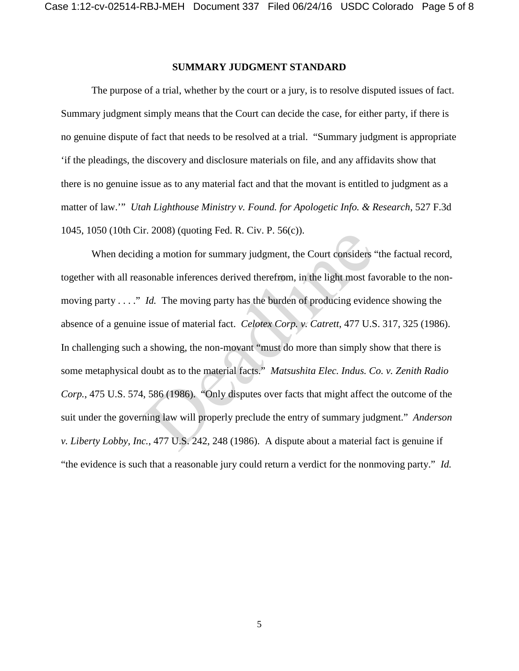# **SUMMARY JUDGMENT STANDARD**

The purpose of a trial, whether by the court or a jury, is to resolve disputed issues of fact. Summary judgment simply means that the Court can decide the case, for either party, if there is no genuine dispute of fact that needs to be resolved at a trial. "Summary judgment is appropriate 'if the pleadings, the discovery and disclosure materials on file, and any affidavits show that there is no genuine issue as to any material fact and that the movant is entitled to judgment as a matter of law.'" *Utah Lighthouse Ministry v. Found. for Apologetic Info. & Research*, 527 F.3d 1045, 1050 (10th Cir. 2008) (quoting Fed. R. Civ. P. 56(c)).

When deciding a motion for summary judgment, the Court considers "the factual record, together with all reasonable inferences derived therefrom, in the light most favorable to the nonmoving party . . . ." *Id.* The moving party has the burden of producing evidence showing the absence of a genuine issue of material fact. *Celotex Corp. v. Catrett*, 477 U.S. 317, 325 (1986). In challenging such a showing, the non-movant "must do more than simply show that there is some metaphysical doubt as to the material facts." *Matsushita Elec. Indus. Co. v. Zenith Radio Corp.*, 475 U.S. 574, 586 (1986). "Only disputes over facts that might affect the outcome of the suit under the governing law will properly preclude the entry of summary judgment." *Anderson v. Liberty Lobby, Inc.*, 477 U.S. 242, 248 (1986). A dispute about a material fact is genuine if "the evidence is such that a reasonable jury could return a verdict for the nonmoving party." *Id.* 1. 2006) (quoting red. K. Civ. F. 30(c)).<br>
Ing a motion for summary judgment, the Court considers<br>
sonable inferences derived therefrom, in the light most fa<br>
Id. The moving party has the burden of producing evide<br>
issue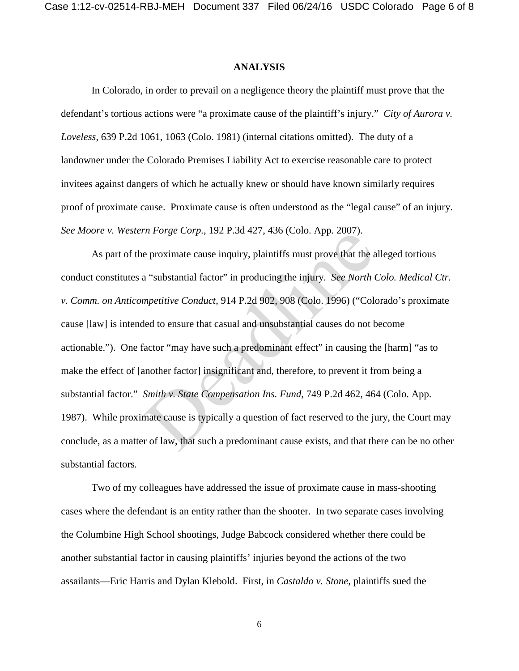### **ANALYSIS**

In Colorado, in order to prevail on a negligence theory the plaintiff must prove that the defendant's tortious actions were "a proximate cause of the plaintiff's injury." *City of Aurora v. Loveless*, 639 P.2d 1061, 1063 (Colo. 1981) (internal citations omitted). The duty of a landowner under the Colorado Premises Liability Act to exercise reasonable care to protect invitees against dangers of which he actually knew or should have known similarly requires proof of proximate cause. Proximate cause is often understood as the "legal cause" of an injury. *See Moore v. Western Forge Corp.*, 192 P.3d 427, 436 (Colo. App. 2007).

As part of the proximate cause inquiry, plaintiffs must prove that the alleged tortious conduct constitutes a "substantial factor" in producing the injury. *See North Colo. Medical Ctr. v. Comm. on Anticompetitive Conduct*, 914 P.2d 902, 908 (Colo. 1996) ("Colorado's proximate cause [law] is intended to ensure that casual and unsubstantial causes do not become actionable."). One factor "may have such a predominant effect" in causing the [harm] "as to make the effect of [another factor] insignificant and, therefore, to prevent it from being a substantial factor." *Smith v. State Compensation Ins. Fund*, 749 P.2d 462, 464 (Colo. App. 1987). While proximate cause is typically a question of fact reserved to the jury, the Court may conclude, as a matter of law, that such a predominant cause exists, and that there can be no other substantial factors*.*  In Porge Corp., 192 P.3d 427, 430 (Colo. App. 2007).<br>
e proximate cause inquiry, plaintiffs must prove that the a<br>
a "substantial factor" in producing the injury. See North (<br>
mpetitive Conduct, 914 P.2d 902, 908 (Colo. 1

Two of my colleagues have addressed the issue of proximate cause in mass-shooting cases where the defendant is an entity rather than the shooter. In two separate cases involving the Columbine High School shootings, Judge Babcock considered whether there could be another substantial factor in causing plaintiffs' injuries beyond the actions of the two assailants—Eric Harris and Dylan Klebold. First, in *Castaldo v. Stone*, plaintiffs sued the

6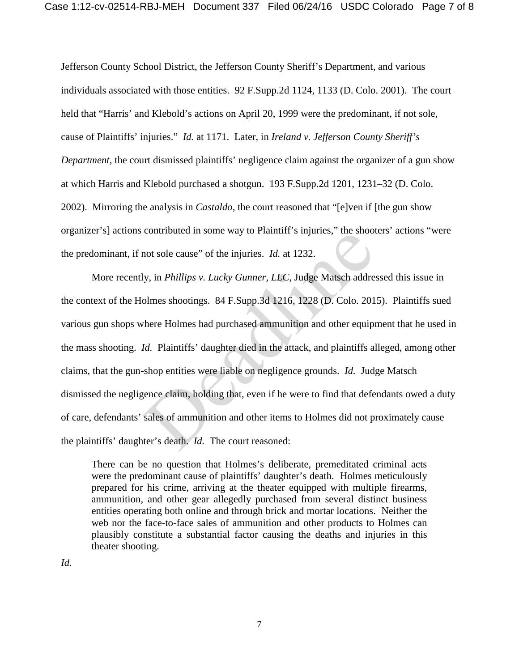Jefferson County School District, the Jefferson County Sheriff's Department, and various individuals associated with those entities. 92 F.Supp.2d 1124, 1133 (D. Colo. 2001). The court held that "Harris' and Klebold's actions on April 20, 1999 were the predominant, if not sole, cause of Plaintiffs' injuries." *Id.* at 1171. Later, in *Ireland v. Jefferson County Sheriff's Department*, the court dismissed plaintiffs' negligence claim against the organizer of a gun show at which Harris and Klebold purchased a shotgun. 193 F.Supp.2d 1201, 1231–32 (D. Colo. 2002). Mirroring the analysis in *Castaldo*, the court reasoned that "[e]ven if [the gun show organizer's] actions contributed in some way to Plaintiff's injuries," the shooters' actions "were the predominant, if not sole cause" of the injuries. *Id.* at 1232.

More recently, in *Phillips v. Lucky Gunner, LLC*, Judge Matsch addressed this issue in the context of the Holmes shootings. 84 F.Supp.3d 1216, 1228 (D. Colo. 2015). Plaintiffs sued various gun shops where Holmes had purchased ammunition and other equipment that he used in the mass shooting. *Id.* Plaintiffs' daughter died in the attack, and plaintiffs alleged, among other claims, that the gun-shop entities were liable on negligence grounds. *Id.* Judge Matsch dismissed the negligence claim, holding that, even if he were to find that defendants owed a duty of care, defendants' sales of ammunition and other items to Holmes did not proximately cause the plaintiffs' daughter's death. *Id.* The court reasoned: contributed in some way to Framini s injuries, the shoot sole cause" of the injuries. *Id.* at 1232.<br>y, in *Phillips v. Lucky Gunner, LLC*, Judge Matsch addreadlered behinds shootings. 84 F.Supp.3d 1216, 1228 (D. Colo. 201

There can be no question that Holmes's deliberate, premeditated criminal acts were the predominant cause of plaintiffs' daughter's death. Holmes meticulously prepared for his crime, arriving at the theater equipped with multiple firearms, ammunition, and other gear allegedly purchased from several distinct business entities operating both online and through brick and mortar locations. Neither the web nor the face-to-face sales of ammunition and other products to Holmes can plausibly constitute a substantial factor causing the deaths and injuries in this theater shooting.

*Id.*